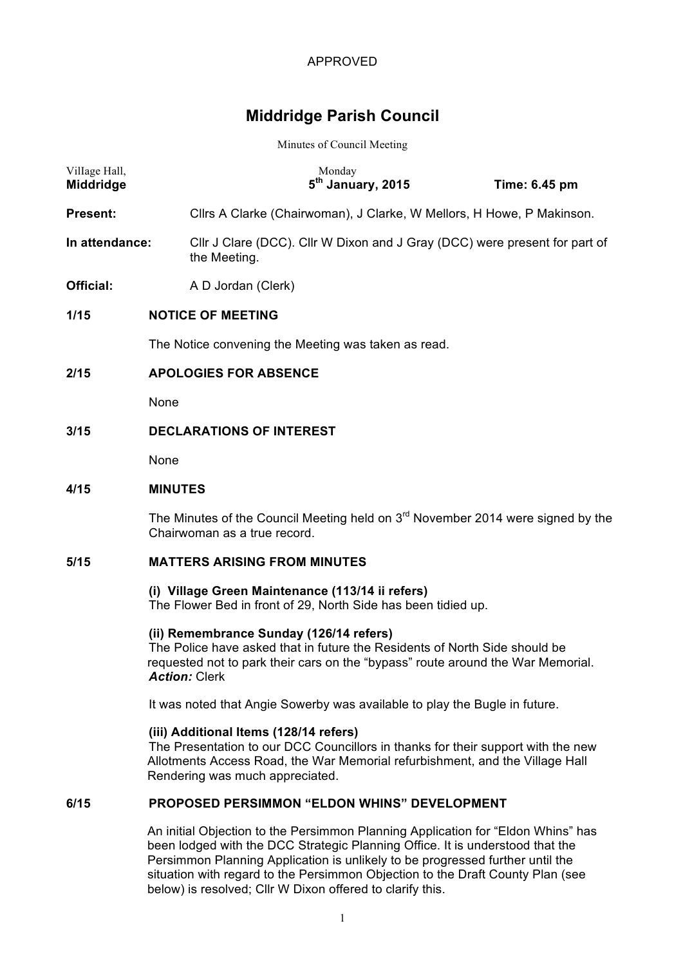# **Middridge Parish Council**

#### Minutes of Council Meeting

| Village Hall,<br>Middridge |                                                                                                                                                                                                                                  |                                                                                            | Monday<br>5 <sup>th</sup> January, 2015 |  | Time: 6.45 pm                                                         |  |  |
|----------------------------|----------------------------------------------------------------------------------------------------------------------------------------------------------------------------------------------------------------------------------|--------------------------------------------------------------------------------------------|-----------------------------------------|--|-----------------------------------------------------------------------|--|--|
| Present:                   |                                                                                                                                                                                                                                  |                                                                                            |                                         |  | Cllrs A Clarke (Chairwoman), J Clarke, W Mellors, H Howe, P Makinson. |  |  |
| In attendance:             |                                                                                                                                                                                                                                  | Cllr J Clare (DCC). Cllr W Dixon and J Gray (DCC) were present for part of<br>the Meeting. |                                         |  |                                                                       |  |  |
| Official:                  |                                                                                                                                                                                                                                  | A D Jordan (Clerk)                                                                         |                                         |  |                                                                       |  |  |
| 1/15                       |                                                                                                                                                                                                                                  | <b>NOTICE OF MEETING</b>                                                                   |                                         |  |                                                                       |  |  |
|                            | The Notice convening the Meeting was taken as read.                                                                                                                                                                              |                                                                                            |                                         |  |                                                                       |  |  |
| 2/15                       | <b>APOLOGIES FOR ABSENCE</b>                                                                                                                                                                                                     |                                                                                            |                                         |  |                                                                       |  |  |
|                            | None                                                                                                                                                                                                                             |                                                                                            |                                         |  |                                                                       |  |  |
| 3/15                       |                                                                                                                                                                                                                                  | <b>DECLARATIONS OF INTEREST</b>                                                            |                                         |  |                                                                       |  |  |
|                            | None                                                                                                                                                                                                                             |                                                                                            |                                         |  |                                                                       |  |  |
| 4/15                       | <b>MINUTES</b>                                                                                                                                                                                                                   |                                                                                            |                                         |  |                                                                       |  |  |
|                            | The Minutes of the Council Meeting held on 3 <sup>rd</sup> November 2014 were signed by the<br>Chairwoman as a true record.                                                                                                      |                                                                                            |                                         |  |                                                                       |  |  |
| 5/15                       |                                                                                                                                                                                                                                  | <b>MATTERS ARISING FROM MINUTES</b>                                                        |                                         |  |                                                                       |  |  |
|                            | (i) Village Green Maintenance (113/14 ii refers)<br>The Flower Bed in front of 29, North Side has been tidied up.                                                                                                                |                                                                                            |                                         |  |                                                                       |  |  |
|                            | (ii) Remembrance Sunday (126/14 refers)<br>The Police have asked that in future the Residents of North Side should be<br>requested not to park their cars on the "bypass" route around the War Memorial.<br><b>Action: Clerk</b> |                                                                                            |                                         |  |                                                                       |  |  |
|                            | It was noted that Angie Sowerby was available to play the Bugle in future.                                                                                                                                                       |                                                                                            |                                         |  |                                                                       |  |  |
|                            |                                                                                                                                                                                                                                  | the state of the state of the state of the                                                 |                                         |  |                                                                       |  |  |

**(iii) Additional Items (128/14 refers)** The Presentation to our DCC Councillors in thanks for their support with the new Allotments Access Road, the War Memorial refurbishment, and the Village Hall Rendering was much appreciated.

## **6/15 PROPOSED PERSIMMON "ELDON WHINS" DEVELOPMENT**

An initial Objection to the Persimmon Planning Application for "Eldon Whins" has been lodged with the DCC Strategic Planning Office. It is understood that the Persimmon Planning Application is unlikely to be progressed further until the situation with regard to the Persimmon Objection to the Draft County Plan (see below) is resolved; Cllr W Dixon offered to clarify this.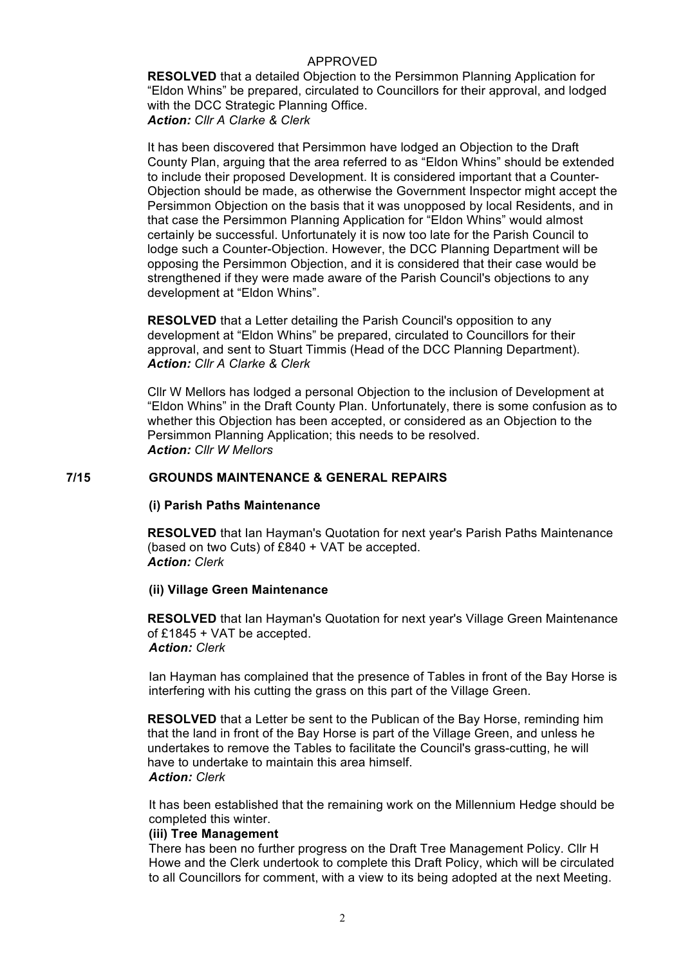**RESOLVED** that a detailed Objection to the Persimmon Planning Application for "Eldon Whins" be prepared, circulated to Councillors for their approval, and lodged with the DCC Strategic Planning Office. *Action: Cllr A Clarke & Clerk*

It has been discovered that Persimmon have lodged an Objection to the Draft County Plan, arguing that the area referred to as "Eldon Whins" should be extended to include their proposed Development. It is considered important that a Counter-Objection should be made, as otherwise the Government Inspector might accept the Persimmon Objection on the basis that it was unopposed by local Residents, and in that case the Persimmon Planning Application for "Eldon Whins" would almost certainly be successful. Unfortunately it is now too late for the Parish Council to lodge such a Counter-Objection. However, the DCC Planning Department will be opposing the Persimmon Objection, and it is considered that their case would be strengthened if they were made aware of the Parish Council's objections to any development at "Eldon Whins".

**RESOLVED** that a Letter detailing the Parish Council's opposition to any development at "Eldon Whins" be prepared, circulated to Councillors for their approval, and sent to Stuart Timmis (Head of the DCC Planning Department). *Action: Cllr A Clarke & Clerk*

Cllr W Mellors has lodged a personal Objection to the inclusion of Development at "Eldon Whins" in the Draft County Plan. Unfortunately, there is some confusion as to whether this Objection has been accepted, or considered as an Objection to the Persimmon Planning Application; this needs to be resolved. *Action: Cllr W Mellors*

## **7/15 GROUNDS MAINTENANCE & GENERAL REPAIRS**

#### **(i) Parish Paths Maintenance**

**RESOLVED** that Ian Hayman's Quotation for next year's Parish Paths Maintenance (based on two Cuts) of £840 + VAT be accepted. *Action: Clerk*

#### **(ii) Village Green Maintenance**

**RESOLVED** that Ian Hayman's Quotation for next year's Village Green Maintenance of £1845 + VAT be accepted. *Action: Clerk*

Ian Hayman has complained that the presence of Tables in front of the Bay Horse is interfering with his cutting the grass on this part of the Village Green.

**RESOLVED** that a Letter be sent to the Publican of the Bay Horse, reminding him that the land in front of the Bay Horse is part of the Village Green, and unless he undertakes to remove the Tables to facilitate the Council's grass-cutting, he will have to undertake to maintain this area himself. *Action: Clerk*

It has been established that the remaining work on the Millennium Hedge should be completed this winter.

#### **(iii) Tree Management**

There has been no further progress on the Draft Tree Management Policy. Cllr H Howe and the Clerk undertook to complete this Draft Policy, which will be circulated to all Councillors for comment, with a view to its being adopted at the next Meeting.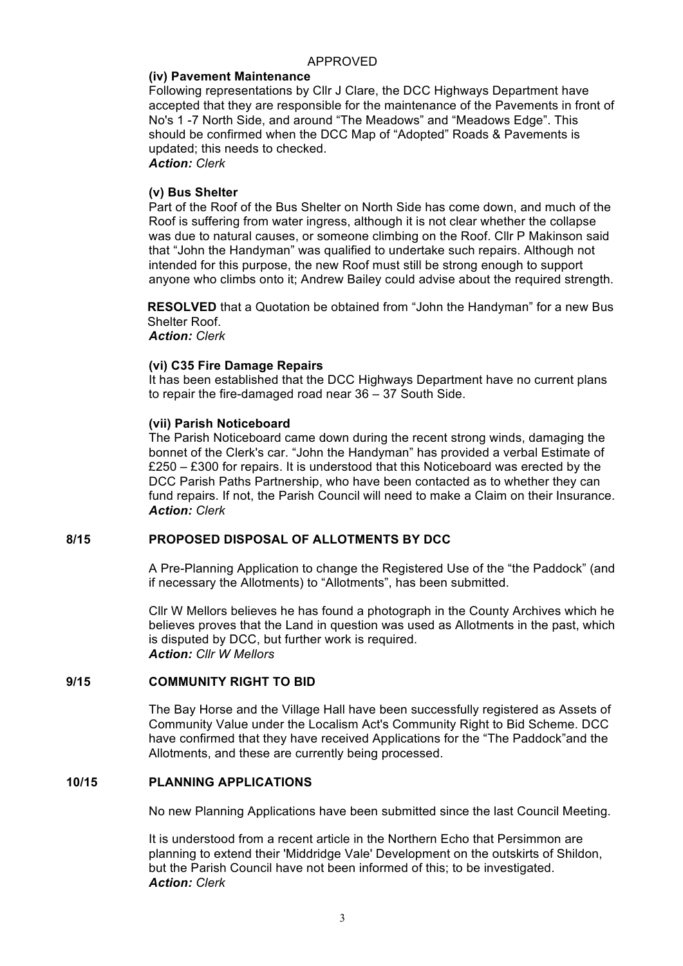#### **(iv) Pavement Maintenance**

Following representations by Cllr J Clare, the DCC Highways Department have accepted that they are responsible for the maintenance of the Pavements in front of No's 1 -7 North Side, and around "The Meadows" and "Meadows Edge". This should be confirmed when the DCC Map of "Adopted" Roads & Pavements is updated; this needs to checked. *Action: Clerk*

#### **(v) Bus Shelter**

Part of the Roof of the Bus Shelter on North Side has come down, and much of the Roof is suffering from water ingress, although it is not clear whether the collapse was due to natural causes, or someone climbing on the Roof. Cllr P Makinson said that "John the Handyman" was qualified to undertake such repairs. Although not intended for this purpose, the new Roof must still be strong enough to support anyone who climbs onto it; Andrew Bailey could advise about the required strength.

**RESOLVED** that a Quotation be obtained from "John the Handyman" for a new Bus Shelter Roof.

*Action: Clerk*

#### **(vi) C35 Fire Damage Repairs**

It has been established that the DCC Highways Department have no current plans to repair the fire-damaged road near 36 – 37 South Side.

#### **(vii) Parish Noticeboard**

The Parish Noticeboard came down during the recent strong winds, damaging the bonnet of the Clerk's car. "John the Handyman" has provided a verbal Estimate of £250 – £300 for repairs. It is understood that this Noticeboard was erected by the DCC Parish Paths Partnership, who have been contacted as to whether they can fund repairs. If not, the Parish Council will need to make a Claim on their Insurance. *Action: Clerk*

## **8/15 PROPOSED DISPOSAL OF ALLOTMENTS BY DCC**

A Pre-Planning Application to change the Registered Use of the "the Paddock" (and if necessary the Allotments) to "Allotments", has been submitted.

Cllr W Mellors believes he has found a photograph in the County Archives which he believes proves that the Land in question was used as Allotments in the past, which is disputed by DCC, but further work is required. *Action: Cllr W Mellors*

#### **9/15 COMMUNITY RIGHT TO BID**

The Bay Horse and the Village Hall have been successfully registered as Assets of Community Value under the Localism Act's Community Right to Bid Scheme. DCC have confirmed that they have received Applications for the "The Paddock"and the Allotments, and these are currently being processed.

#### **10/15 PLANNING APPLICATIONS**

No new Planning Applications have been submitted since the last Council Meeting.

It is understood from a recent article in the Northern Echo that Persimmon are planning to extend their 'Middridge Vale' Development on the outskirts of Shildon, but the Parish Council have not been informed of this; to be investigated. *Action: Clerk*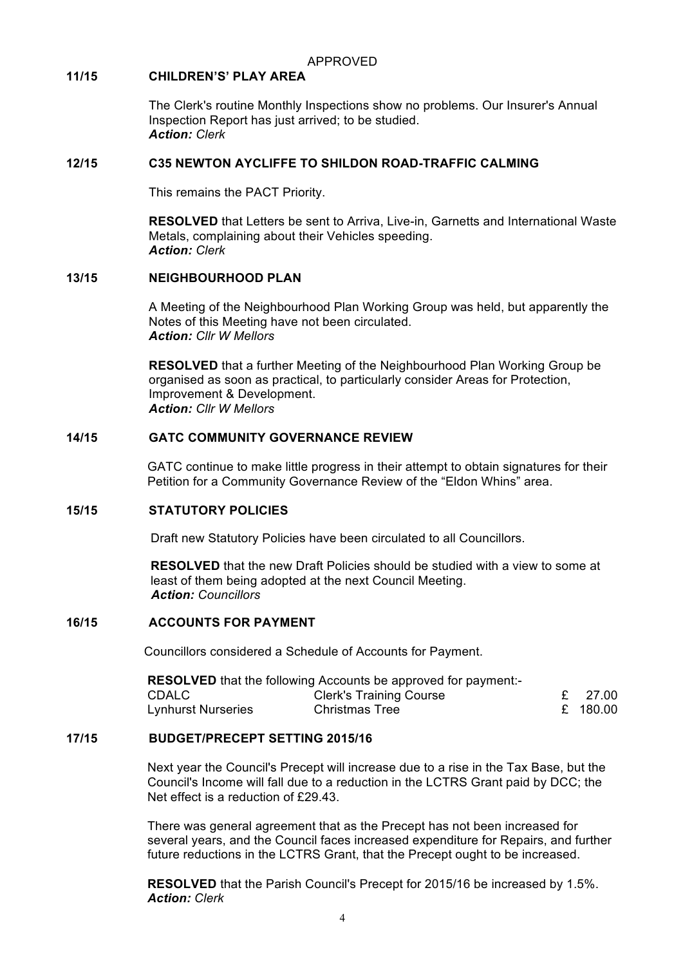## **11/15 CHILDREN'S' PLAY AREA**

The Clerk's routine Monthly Inspections show no problems. Our Insurer's Annual Inspection Report has just arrived; to be studied. *Action: Clerk*

#### **12/15 C35 NEWTON AYCLIFFE TO SHILDON ROAD-TRAFFIC CALMING**

This remains the PACT Priority.

**RESOLVED** that Letters be sent to Arriva, Live-in, Garnetts and International Waste Metals, complaining about their Vehicles speeding. *Action: Clerk*

#### **13/15 NEIGHBOURHOOD PLAN**

A Meeting of the Neighbourhood Plan Working Group was held, but apparently the Notes of this Meeting have not been circulated. *Action: Cllr W Mellors*

**RESOLVED** that a further Meeting of the Neighbourhood Plan Working Group be organised as soon as practical, to particularly consider Areas for Protection, Improvement & Development. *Action: Cllr W Mellors*

## **14/15 GATC COMMUNITY GOVERNANCE REVIEW**

GATC continue to make little progress in their attempt to obtain signatures for their Petition for a Community Governance Review of the "Eldon Whins" area.

## **15/15 STATUTORY POLICIES**

Draft new Statutory Policies have been circulated to all Councillors.

**RESOLVED** that the new Draft Policies should be studied with a view to some at least of them being adopted at the next Council Meeting. *Action: Councillors*

## **16/15 ACCOUNTS FOR PAYMENT**

Councillors considered a Schedule of Accounts for Payment.

| <b>RESOLVED</b> that the following Accounts be approved for payment:- |                                |  |          |  |  |  |  |  |
|-----------------------------------------------------------------------|--------------------------------|--|----------|--|--|--|--|--|
| CDALC -                                                               | <b>Clerk's Training Course</b> |  | £ 27.00  |  |  |  |  |  |
| <b>Lynhurst Nurseries</b>                                             | <b>Christmas Tree</b>          |  | £ 180.00 |  |  |  |  |  |

## **17/15 BUDGET/PRECEPT SETTING 2015/16**

Next year the Council's Precept will increase due to a rise in the Tax Base, but the Council's Income will fall due to a reduction in the LCTRS Grant paid by DCC; the Net effect is a reduction of £29.43

There was general agreement that as the Precept has not been increased for several years, and the Council faces increased expenditure for Repairs, and further future reductions in the LCTRS Grant, that the Precept ought to be increased.

**RESOLVED** that the Parish Council's Precept for 2015/16 be increased by 1.5%. *Action: Clerk*